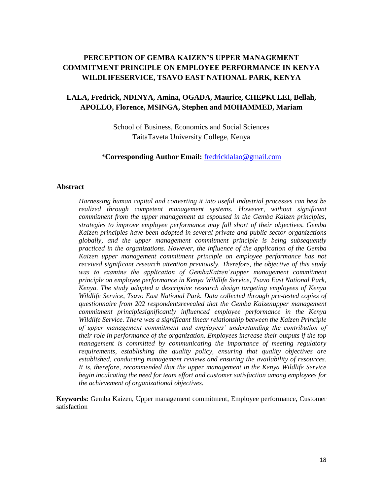# **PERCEPTION OF GEMBA KAIZEN'S UPPER MANAGEMENT COMMITMENT PRINCIPLE ON EMPLOYEE PERFORMANCE IN KENYA WILDLIFESERVICE, TSAVO EAST NATIONAL PARK, KENYA**

#### **LALA, Fredrick, NDINYA, Amina, OGADA, Maurice, CHEPKULEI, Bellah, APOLLO, Florence, MSINGA, Stephen and MOHAMMED, Mariam**

School of Business, Economics and Social Sciences TaitaTaveta University College, Kenya

\***Corresponding Author Email:** [fredricklalao@gmail.com](mailto:fredricklalao@gmail.com)

#### **Abstract**

*Harnessing human capital and converting it into useful industrial processes can best be realized through competent management systems. However, without significant commitment from the upper management as espoused in the Gemba Kaizen principles, strategies to improve employee performance may fall short of their objectives. Gemba Kaizen principles have been adopted in several private and public sector organizations globally, and the upper management commitment principle is being subsequently practiced in the organizations. However, the influence of the application of the Gemba Kaizen upper management commitment principle on employee performance has not received significant research attention previously. Therefore, the objective of this study was to examine the application of GembaKaizen'supper management commitment principle on employee performance in Kenya Wildlife Service, Tsavo East National Park, Kenya. The study adopted a descriptive research design targeting employees of Kenya Wildlife Service, Tsavo East National Park. Data collected through pre-tested copies of questionnaire from 202 respondentsrevealed that the Gemba Kaizenupper management commitment principlesignificantly influenced employee performance in the Kenya Wildlife Service. There was a significant linear relationship between the Kaizen Principle of upper management commitment and employees' understanding the contribution of their role in performance of the organization. Employees increase their outputs if the top management is committed by communicating the importance of meeting regulatory requirements, establishing the quality policy, ensuring that quality objectives are established, conducting management reviews and ensuring the availability of resources. It is, therefore, recommended that the upper management in the Kenya Wildlife Service begin inculcating the need for team effort and customer satisfaction among employees for the achievement of organizational objectives.*

**Keywords:** Gemba Kaizen, Upper management commitment, Employee performance, Customer satisfaction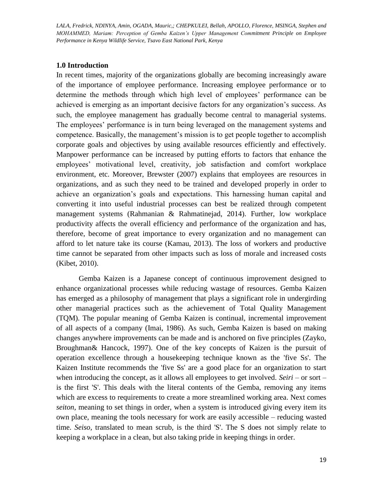#### **1.0 Introduction**

In recent times, majority of the organizations globally are becoming increasingly aware of the importance of employee performance. Increasing employee performance or to determine the methods through which high level of employees' performance can be achieved is emerging as an important decisive factors for any organization's success. As such, the employee management has gradually become central to managerial systems. The employees' performance is in turn being leveraged on the management systems and competence. Basically, the management's mission is to get people together to accomplish corporate goals and objectives by using available resources efficiently and effectively. Manpower performance can be increased by putting efforts to factors that enhance the employees' motivational level, creativity, job satisfaction and comfort workplace environment, etc. Moreover, Brewster (2007) explains that employees are resources in organizations, and as such they need to be trained and developed properly in order to achieve an organization's goals and expectations. This harnessing human capital and converting it into useful industrial processes can best be realized through competent management systems (Rahmanian & Rahmatinejad, 2014). Further, low workplace productivity affects the overall efficiency and performance of the organization and has, therefore, become of great importance to every organization and no management can afford to let nature take its course (Kamau, 2013). The loss of workers and productive time cannot be separated from other impacts such as loss of morale and increased costs (Kibet, 2010).

Gemba Kaizen is a Japanese concept of continuous improvement designed to enhance organizational processes while reducing wastage of resources. Gemba Kaizen has emerged as a philosophy of management that plays a significant role in undergirding other managerial practices such as the achievement of Total Quality Management (TQM). The popular meaning of Gemba Kaizen is continual, incremental improvement of all aspects of a company (Imai, 1986). As such, Gemba Kaizen is based on making changes anywhere improvements can be made and is anchored on five principles (Zayko, Broughman& Hancock, 1997). One of the key concepts of Kaizen is the pursuit of operation excellence through a housekeeping technique known as the 'five Ss'. The Kaizen Institute recommends the 'five Ss' are a good place for an organization to start when introducing the concept, as it allows all employees to get involved. *Seiri* – or sort – is the first 'S'. This deals with the literal contents of the Gemba, removing any items which are excess to requirements to create a more streamlined working area. Next comes *seiton*, meaning to set things in order, when a system is introduced giving every item its own place, meaning the tools necessary for work are easily accessible – reducing wasted time. *Seiso,* translated to mean scrub, is the third 'S'. The S does not simply relate to keeping a workplace in a clean, but also taking pride in keeping things in order.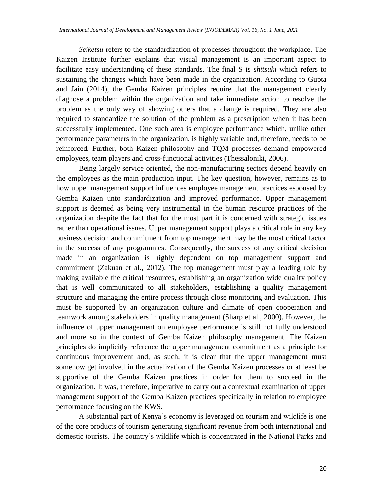*Seiketsu* refers to the standardization of processes throughout the workplace. The Kaizen Institute further explains that visual management is an important aspect to facilitate easy understanding of these standards. The final S is *shitsuki* which refers to sustaining the changes which have been made in the organization. According to Gupta and Jain (2014), the Gemba Kaizen principles require that the management clearly diagnose a problem within the organization and take immediate action to resolve the problem as the only way of showing others that a change is required. They are also required to standardize the solution of the problem as a prescription when it has been successfully implemented. One such area is employee performance which, unlike other performance parameters in the organization, is highly variable and, therefore, needs to be reinforced. Further, both Kaizen philosophy and TQM processes demand empowered employees, team players and cross-functional activities (Thessaloniki, 2006).

Being largely service oriented, the non-manufacturing sectors depend heavily on the employees as the main production input. The key question, however, remains as to how upper management support influences employee management practices espoused by Gemba Kaizen unto standardization and improved performance. Upper management support is deemed as being very instrumental in the human resource practices of the organization despite the fact that for the most part it is concerned with strategic issues rather than operational issues. Upper management support plays a critical role in any key business decision and commitment from top management may be the most critical factor in the success of any programmes. Consequently, the success of any critical decision made in an organization is highly dependent on top management support and commitment (Zakuan et al., 2012). The top management must play a leading role by making available the critical resources, establishing an organization wide quality policy that is well communicated to all stakeholders, establishing a quality management structure and managing the entire process through close monitoring and evaluation. This must be supported by an organization culture and climate of open cooperation and teamwork among stakeholders in quality management (Sharp et al., 2000). However, the influence of upper management on employee performance is still not fully understood and more so in the context of Gemba Kaizen philosophy management. The Kaizen principles do implicitly reference the upper management commitment as a principle for continuous improvement and, as such, it is clear that the upper management must somehow get involved in the actualization of the Gemba Kaizen processes or at least be supportive of the Gemba Kaizen practices in order for them to succeed in the organization. It was, therefore, imperative to carry out a contextual examination of upper management support of the Gemba Kaizen practices specifically in relation to employee performance focusing on the KWS.

A substantial part of Kenya's economy is leveraged on tourism and wildlife is one of the core products of tourism generating significant revenue from both international and domestic tourists. The country's wildlife which is concentrated in the National Parks and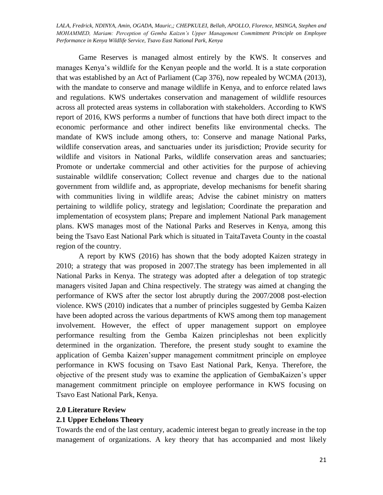Game Reserves is managed almost entirely by the KWS. It conserves and manages Kenya's wildlife for the Kenyan people and the world. It is a state corporation that was established by an Act of Parliament (Cap 376), now repealed by WCMA (2013), with the mandate to conserve and manage wildlife in Kenya, and to enforce related laws and regulations. KWS undertakes conservation and management of wildlife resources across all protected areas systems in collaboration with stakeholders. According to KWS report of 2016, KWS performs a number of functions that have both direct impact to the economic performance and other indirect benefits like environmental checks. The mandate of KWS include among others, to: Conserve and manage National Parks, wildlife conservation areas, and sanctuaries under its jurisdiction; Provide security for wildlife and visitors in National Parks, wildlife conservation areas and sanctuaries; Promote or undertake commercial and other activities for the purpose of achieving sustainable wildlife conservation; Collect revenue and charges due to the national government from wildlife and, as appropriate, develop mechanisms for benefit sharing with communities living in wildlife areas; Advise the cabinet ministry on matters pertaining to wildlife policy, strategy and legislation; Coordinate the preparation and implementation of ecosystem plans; Prepare and implement National Park management plans. KWS manages most of the National Parks and Reserves in Kenya, among this being the Tsavo East National Park which is situated in TaitaTaveta County in the coastal region of the country.

A report by KWS (2016) has shown that the body adopted Kaizen strategy in 2010; a strategy that was proposed in 2007.The strategy has been implemented in all National Parks in Kenya. The strategy was adopted after a delegation of top strategic managers visited Japan and China respectively. The strategy was aimed at changing the performance of KWS after the sector lost abruptly during the 2007/2008 post-election violence. KWS (2010) indicates that a number of principles suggested by Gemba Kaizen have been adopted across the various departments of KWS among them top management involvement. However, the effect of upper management support on employee performance resulting from the Gemba Kaizen principleshas not been explicitly determined in the organization. Therefore, the present study sought to examine the application of Gemba Kaizen'supper management commitment principle on employee performance in KWS focusing on Tsavo East National Park, Kenya. Therefore, the objective of the present study was to examine the application of GembaKaizen's upper management commitment principle on employee performance in KWS focusing on Tsavo East National Park, Kenya.

#### **2.0 Literature Review**

#### **2.1 Upper Echelons Theory**

Towards the end of the last century, academic interest began to greatly increase in the top management of organizations. A key theory that has accompanied and most likely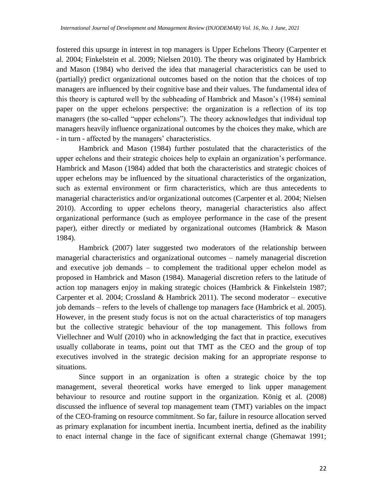fostered this upsurge in interest in top managers is Upper Echelons Theory (Carpenter et al. 2004; Finkelstein et al. 2009; Nielsen 2010). The theory was originated by Hambrick and Mason (1984) who derived the idea that managerial characteristics can be used to (partially) predict organizational outcomes based on the notion that the choices of top managers are influenced by their cognitive base and their values. The fundamental idea of this theory is captured well by the subheading of Hambrick and Mason's (1984) seminal paper on the upper echelons perspective: the organization is a reflection of its top managers (the so-called "upper echelons"). The theory acknowledges that individual top managers heavily influence organizational outcomes by the choices they make, which are - in turn - affected by the managers' characteristics.

Hambrick and Mason (1984) further postulated that the characteristics of the upper echelons and their strategic choices help to explain an organization's performance. Hambrick and Mason (1984) added that both the characteristics and strategic choices of upper echelons may be influenced by the situational characteristics of the organization, such as external environment or firm characteristics, which are thus antecedents to managerial characteristics and/or organizational outcomes (Carpenter et al. 2004; Nielsen 2010). According to upper echelons theory, managerial characteristics also affect organizational performance (such as employee performance in the case of the present paper), either directly or mediated by organizational outcomes (Hambrick & Mason 1984).

Hambrick (2007) later suggested two moderators of the relationship between managerial characteristics and organizational outcomes – namely managerial discretion and executive job demands – to complement the traditional upper echelon model as proposed in Hambrick and Mason (1984). Managerial discretion refers to the latitude of action top managers enjoy in making strategic choices (Hambrick & Finkelstein 1987; Carpenter et al. 2004; Crossland & Hambrick 2011). The second moderator – executive job demands – refers to the levels of challenge top managers face (Hambrick et al. 2005). However, in the present study focus is not on the actual characteristics of top managers but the collective strategic behaviour of the top management. This follows from Viellechner and Wulf (2010) who in acknowledging the fact that in practice, executives usually collaborate in teams, point out that TMT as the CEO and the group of top executives involved in the strategic decision making for an appropriate response to situations.

Since support in an organization is often a strategic choice by the top management, several theoretical works have emerged to link upper management behaviour to resource and routine support in the organization. König et al. (2008) discussed the influence of several top management team (TMT) variables on the impact of the CEO-framing on resource commitment. So far, failure in resource allocation served as primary explanation for incumbent inertia. Incumbent inertia, defined as the inability to enact internal change in the face of significant external change (Ghemawat 1991;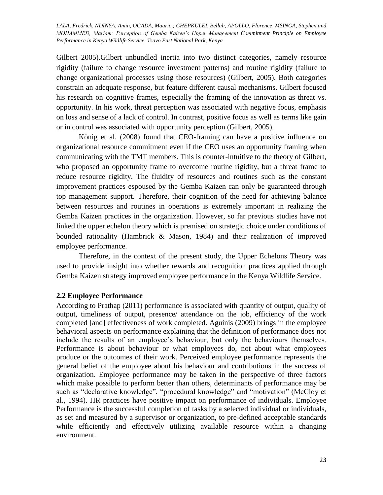Gilbert 2005).Gilbert unbundled inertia into two distinct categories, namely resource rigidity (failure to change resource investment patterns) and routine rigidity (failure to change organizational processes using those resources) (Gilbert, 2005). Both categories constrain an adequate response, but feature different causal mechanisms. Gilbert focused his research on cognitive frames, especially the framing of the innovation as threat vs. opportunity. In his work, threat perception was associated with negative focus, emphasis on loss and sense of a lack of control. In contrast, positive focus as well as terms like gain or in control was associated with opportunity perception (Gilbert, 2005).

König et al. (2008) found that CEO-framing can have a positive influence on organizational resource commitment even if the CEO uses an opportunity framing when communicating with the TMT members. This is counter-intuitive to the theory of Gilbert, who proposed an opportunity frame to overcome routine rigidity, but a threat frame to reduce resource rigidity. The fluidity of resources and routines such as the constant improvement practices espoused by the Gemba Kaizen can only be guaranteed through top management support. Therefore, their cognition of the need for achieving balance between resources and routines in operations is extremely important in realizing the Gemba Kaizen practices in the organization. However, so far previous studies have not linked the upper echelon theory which is premised on strategic choice under conditions of bounded rationality (Hambrick & Mason, 1984) and their realization of improved employee performance.

Therefore, in the context of the present study, the Upper Echelons Theory was used to provide insight into whether rewards and recognition practices applied through Gemba Kaizen strategy improved employee performance in the Kenya Wildlife Service.

#### **2.2 Employee Performance**

According to Prathap (2011) performance is associated with quantity of output, quality of output, timeliness of output, presence/ attendance on the job, efficiency of the work completed [and] effectiveness of work completed. Aguinis (2009) brings in the employee behavioral aspects on performance explaining that the definition of performance does not include the results of an employee's behaviour, but only the behaviours themselves. Performance is about behaviour or what employees do, not about what employees produce or the outcomes of their work. Perceived employee performance represents the general belief of the employee about his behaviour and contributions in the success of organization. Employee performance may be taken in the perspective of three factors which make possible to perform better than others, determinants of performance may be such as "declarative knowledge", "procedural knowledge" and "motivation" (McCloy et al., 1994). HR practices have positive impact on performance of individuals. Employee Performance is the successful completion of tasks by a selected individual or individuals, as set and measured by a supervisor or organization, to pre-defined acceptable standards while efficiently and effectively utilizing available resource within a changing environment.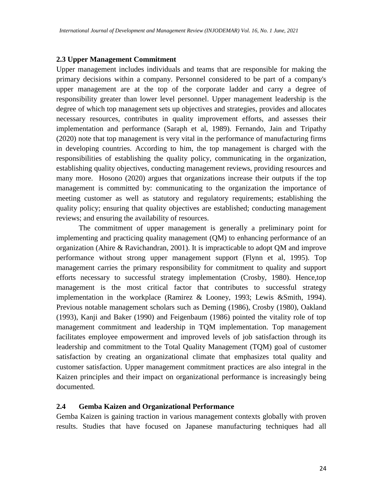#### **2.3 Upper Management Commitment**

Upper management includes individuals and teams that are responsible for making the primary decisions within a company. Personnel considered to be part of a company's upper management are at the top of the corporate ladder and carry a degree of responsibility greater than lower level personnel. Upper management leadership is the degree of which top management sets up objectives and strategies, provides and allocates necessary resources, contributes in quality improvement efforts, and assesses their implementation and performance (Saraph et al, 1989). Fernando, Jain and Tripathy (2020) note that top management is very vital in the performance of manufacturing firms in developing countries. According to him, the top management is charged with the responsibilities of establishing the quality policy, communicating in the organization, establishing quality objectives, conducting management reviews, providing resources and many more. Hosono (2020) argues that organizations increase their outputs if the top management is committed by: communicating to the organization the importance of meeting customer as well as statutory and regulatory requirements; establishing the quality policy; ensuring that quality objectives are established; conducting management reviews; and ensuring the availability of resources.

The commitment of upper management is generally a preliminary point for implementing and practicing quality management (QM) to enhancing performance of an organization (Ahire & Ravichandran, 2001). It is impracticable to adopt QM and improve performance without strong upper management support (Flynn et al, 1995). Top management carries the primary responsibility for commitment to quality and support efforts necessary to successful strategy implementation (Crosby, 1980). Hence,top management is the most critical factor that contributes to successful strategy implementation in the workplace (Ramirez & Looney, 1993; Lewis &Smith, 1994). Previous notable management scholars such as Deming (1986), Crosby (1980), Oakland (1993), Kanji and Baker (1990) and Feigenbaum (1986) pointed the vitality role of top management commitment and leadership in TQM implementation. Top management facilitates employee empowerment and improved levels of job satisfaction through its leadership and commitment to the Total Quality Management (TQM) goal of customer satisfaction by creating an organizational climate that emphasizes total quality and customer satisfaction. Upper management commitment practices are also integral in the Kaizen principles and their impact on organizational performance is increasingly being documented.

#### **2.4 Gemba Kaizen and Organizational Performance**

Gemba Kaizen is gaining traction in various management contexts globally with proven results. Studies that have focused on Japanese manufacturing techniques had all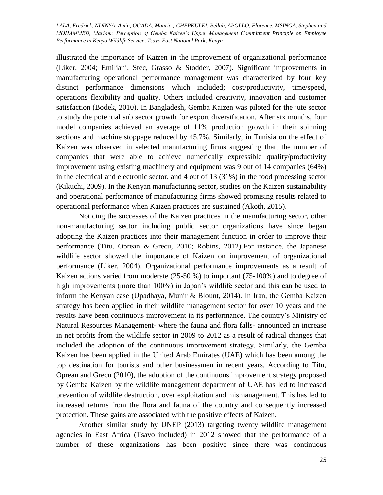illustrated the importance of Kaizen in the improvement of organizational performance (Liker, 2004; Emiliani, Stec, Grasso & Stodder, 2007). Significant improvements in manufacturing operational performance management was characterized by four key distinct performance dimensions which included; cost/productivity, time/speed, operations flexibility and quality. Others included creativity, innovation and customer satisfaction (Bodek, 2010). In Bangladesh, Gemba Kaizen was piloted for the jute sector to study the potential sub sector growth for export diversification. After six months, four model companies achieved an average of 11% production growth in their spinning sections and machine stoppage reduced by 45.7%. Similarly, in Tunisia on the effect of Kaizen was observed in selected manufacturing firms suggesting that, the number of companies that were able to achieve numerically expressible quality/productivity improvement using existing machinery and equipment was 9 out of 14 companies (64%) in the electrical and electronic sector, and 4 out of 13 (31%) in the food processing sector (Kikuchi, 2009). In the Kenyan manufacturing sector, studies on the Kaizen sustainability and operational performance of manufacturing firms showed promising results related to operational performance when Kaizen practices are sustained (Akoth, 2015).

Noticing the successes of the Kaizen practices in the manufacturing sector, other non-manufacturing sector including public sector organizations have since began adopting the Kaizen practices into their management function in order to improve their performance (Titu, Oprean & Grecu, 2010; Robins, 2012).For instance, the Japanese wildlife sector showed the importance of Kaizen on improvement of organizational performance (Liker, 2004). Organizational performance improvements as a result of Kaizen actions varied from moderate (25-50 %) to important (75-100%) and to degree of high improvements (more than 100%) in Japan's wildlife sector and this can be used to inform the Kenyan case (Upadhaya, Munir & Blount, 2014). In Iran, the Gemba Kaizen strategy has been applied in their wildlife management sector for over 10 years and the results have been continuous improvement in its performance. The country's Ministry of Natural Resources Management- where the fauna and flora falls- announced an increase in net profits from the wildlife sector in 2009 to 2012 as a result of radical changes that included the adoption of the continuous improvement strategy. Similarly, the Gemba Kaizen has been applied in the United Arab Emirates (UAE) which has been among the top destination for tourists and other businessmen in recent years. According to Titu, Oprean and Grecu (2010), the adoption of the continuous improvement strategy proposed by Gemba Kaizen by the wildlife management department of UAE has led to increased prevention of wildlife destruction, over exploitation and mismanagement. This has led to increased returns from the flora and fauna of the country and consequently increased protection. These gains are associated with the positive effects of Kaizen.

Another similar study by UNEP (2013) targeting twenty wildlife management agencies in East Africa (Tsavo included) in 2012 showed that the performance of a number of these organizations has been positive since there was continuous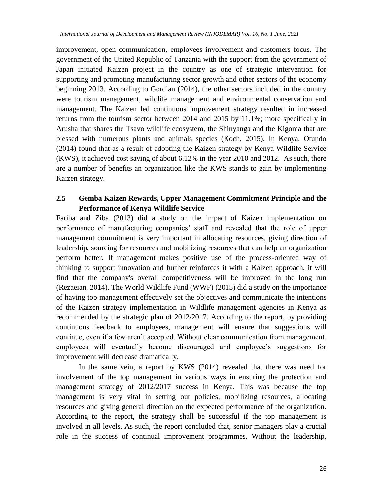improvement, open communication, employees involvement and customers focus. The government of the United Republic of Tanzania with the support from the government of Japan initiated Kaizen project in the country as one of strategic intervention for supporting and promoting manufacturing sector growth and other sectors of the economy beginning 2013. According to Gordian (2014), the other sectors included in the country were tourism management, wildlife management and environmental conservation and management. The Kaizen led continuous improvement strategy resulted in increased returns from the tourism sector between 2014 and 2015 by 11.1%; more specifically in Arusha that shares the Tsavo wildlife ecosystem, the Shinyanga and the Kigoma that are blessed with numerous plants and animals species (Koch, 2015). In Kenya, Otundo (2014) found that as a result of adopting the Kaizen strategy by Kenya Wildlife Service (KWS), it achieved cost saving of about 6.12% in the year 2010 and 2012. As such, there are a number of benefits an organization like the KWS stands to gain by implementing Kaizen strategy.

### **2.5 Gemba Kaizen Rewards, Upper Management Commitment Principle and the Performance of Kenya Wildlife Service**

Fariba and Ziba (2013) did a study on the impact of Kaizen implementation on performance of manufacturing companies' staff and revealed that the role of upper management commitment is very important in allocating resources, giving direction of leadership, sourcing for resources and mobilizing resources that can help an organization perform better. If management makes positive use of the process-oriented way of thinking to support innovation and further reinforces it with a Kaizen approach, it will find that the company's overall competitiveness will be improved in the long run (Rezaeian, 2014). The World Wildlife Fund (WWF) (2015) did a study on the importance of having top management effectively set the objectives and communicate the intentions of the Kaizen strategy implementation in Wildlife management agencies in Kenya as recommended by the strategic plan of 2012/2017. According to the report, by providing continuous feedback to employees, management will ensure that suggestions will continue, even if a few aren't accepted. Without clear communication from management, employees will eventually become discouraged and employee's suggestions for improvement will decrease dramatically.

In the same vein, a report by KWS (2014) revealed that there was need for involvement of the top management in various ways in ensuring the protection and management strategy of 2012/2017 success in Kenya. This was because the top management is very vital in setting out policies, mobilizing resources, allocating resources and giving general direction on the expected performance of the organization. According to the report, the strategy shall be successful if the top management is involved in all levels. As such, the report concluded that, senior managers play a crucial role in the success of continual improvement programmes. Without the leadership,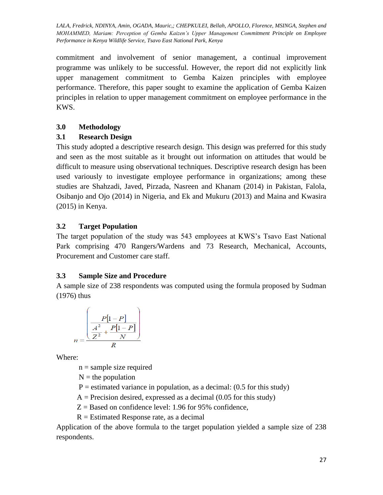commitment and involvement of senior management, a continual improvement programme was unlikely to be successful. However, the report did not explicitly link upper management commitment to Gemba Kaizen principles with employee performance. Therefore, this paper sought to examine the application of Gemba Kaizen principles in relation to upper management commitment on employee performance in the KWS.

# **3.0 Methodology**

# **3.1 Research Design**

This study adopted a descriptive research design. This design was preferred for this study and seen as the most suitable as it brought out information on attitudes that would be difficult to measure using observational techniques. Descriptive research design has been used variously to investigate employee performance in organizations; among these studies are Shahzadi, Javed, Pirzada, Nasreen and Khanam (2014) in Pakistan, Falola, Osibanjo and Ojo (2014) in Nigeria, and Ek and Mukuru (2013) and Maina and Kwasira (2015) in Kenya.

# **3.2 Target Population**

The target population of the study was 543 employees at KWS's Tsavo East National Park comprising 470 Rangers/Wardens and 73 Research, Mechanical, Accounts, Procurement and Customer care staff.

# **3.3 Sample Size and Procedure**

A sample size of 238 respondents was computed using the formula proposed by Sudman (1976) thus

$$
n = \frac{\left(\frac{P[1-P]}{A^2} - \frac{P[1-P]}{N}\right)}{R}
$$

Where:

 $n =$ sample size required

 $N =$  the population

- $P =$  estimated variance in population, as a decimal: (0.5 for this study)
- $A =$  Precision desired, expressed as a decimal (0.05 for this study)
- $Z =$  Based on confidence level: 1.96 for 95% confidence,
- $R =$  Estimated Response rate, as a decimal

Application of the above formula to the target population yielded a sample size of 238 respondents.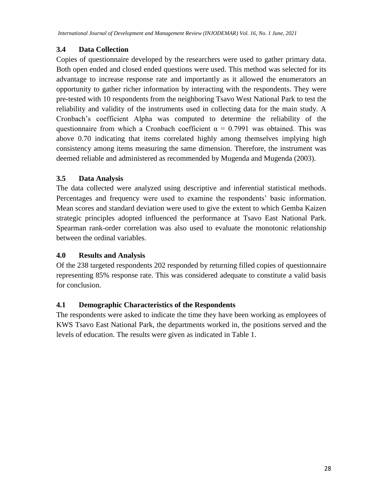# **3.4 Data Collection**

Copies of questionnaire developed by the researchers were used to gather primary data. Both open ended and closed ended questions were used. This method was selected for its advantage to increase response rate and importantly as it allowed the enumerators an opportunity to gather richer information by interacting with the respondents. They were pre-tested with 10 respondents from the neighboring Tsavo West National Park to test the reliability and validity of the instruments used in collecting data for the main study. A Cronbach's coefficient Alpha was computed to determine the reliability of the questionnaire from which a Cronbach coefficient  $\alpha = 0.7991$  was obtained. This was above 0.70 indicating that items correlated highly among themselves implying high consistency among items measuring the same dimension. Therefore, the instrument was deemed reliable and administered as recommended by Mugenda and Mugenda (2003).

### **3.5 Data Analysis**

The data collected were analyzed using descriptive and inferential statistical methods. Percentages and frequency were used to examine the respondents' basic information. Mean scores and standard deviation were used to give the extent to which Gemba Kaizen strategic principles adopted influenced the performance at Tsavo East National Park. Spearman rank-order correlation was also used to evaluate the monotonic relationship between the ordinal variables.

#### **4.0 Results and Analysis**

Of the 238 targeted respondents 202 responded by returning filled copies of questionnaire representing 85% response rate. This was considered adequate to constitute a valid basis for conclusion.

#### **4.1 Demographic Characteristics of the Respondents**

The respondents were asked to indicate the time they have been working as employees of KWS Tsavo East National Park, the departments worked in, the positions served and the levels of education. The results were given as indicated in Table 1.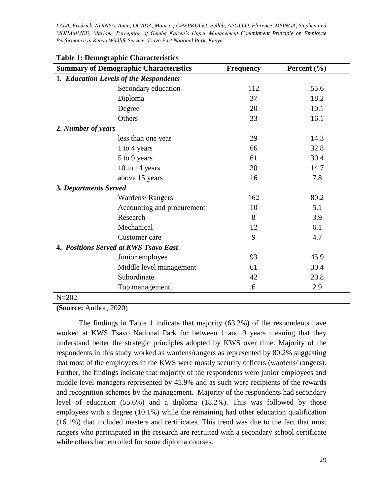| <b>Summary of Demographic Characteristics</b> |                            | <b>Frequency</b> | Percent $(\% )$ |  |
|-----------------------------------------------|----------------------------|------------------|-----------------|--|
| 1. Education Levels of the Respondents        |                            |                  |                 |  |
|                                               | Secondary education        | 112              | 55.6            |  |
|                                               | Diploma                    | 37               | 18.2            |  |
|                                               | Degree                     | 20               | 10.1            |  |
|                                               | Others                     | 33               | 16.1            |  |
| 2. Number of years                            |                            |                  |                 |  |
|                                               | less than one year         | 29               | 14.3            |  |
|                                               | 1 to 4 years               | 66               | 32.8            |  |
|                                               | 5 to 9 years               | 61               | 30.4            |  |
|                                               | 10 to 14 years             | 30               | 14.7            |  |
|                                               | above 15 years             | 16               | 7.8             |  |
| 3. Departments Served                         |                            |                  |                 |  |
|                                               | Wardens/Rangers            | 162              | 80.2            |  |
|                                               | Accounting and procurement | 10               | 5.1             |  |
|                                               | Research                   | 8                | 3.9             |  |
|                                               | Mechanical                 | 12               | 6.1             |  |
|                                               | Customer care              | 9                | 4.7             |  |
| 4. Positions Served at KWS Tsavo East         |                            |                  |                 |  |
|                                               | Junior employee            | 93               | 45.9            |  |
|                                               | Middle level management    | 61               | 30.4            |  |
|                                               | Subordinate                | 42               | 20.8            |  |
|                                               | Top management             | 6                | 2.9             |  |
| $N = 202$                                     |                            |                  |                 |  |

#### **Table 1: Demographic Characteristics**

# **(Source:** Author, 2020)

The findings in Table 1 indicate that majority (63.2%) of the respondents have worked at KWS Tsavo National Park for between 1 and 9 years meaning that they understand better the strategic principles adopted by KWS over time. Majority of the respondents in this study worked as wardens/rangers as represented by 80.2% suggesting that most of the employees in the KWS were mostly security officers (wardens/ rangers). Further, the findings indicate that majority of the respondents were junior employees and middle level managers represented by 45.9% and as such were recipients of the rewards and recognition schemes by the management. Majority of the respondents had secondary level of education (55.6%) and a diploma (18.2%). This was followed by those employees with a degree (10.1%) while the remaining had other education qualification (16.1%) that included masters and certificates. This trend was due to the fact that most rangers who participated in the research are recruited with a secondary school certificate while others had enrolled for some diploma courses.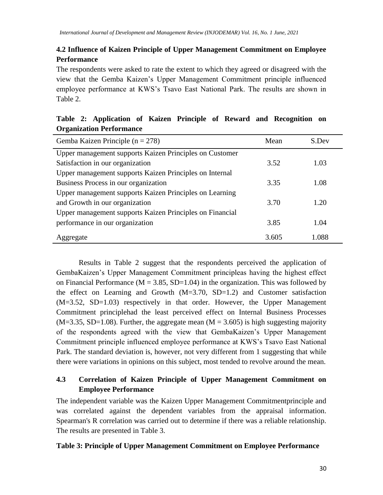# **4.2 Influence of Kaizen Principle of Upper Management Commitment on Employee Performance**

The respondents were asked to rate the extent to which they agreed or disagreed with the view that the Gemba Kaizen's Upper Management Commitment principle influenced employee performance at KWS's Tsavo East National Park. The results are shown in Table 2.

| <u>organization i errormant</u>                          |       |       |
|----------------------------------------------------------|-------|-------|
| Gemba Kaizen Principle ( $n = 278$ )                     | Mean  | S.Dev |
| Upper management supports Kaizen Principles on Customer  |       |       |
| Satisfaction in our organization                         | 3.52  | 1.03  |
| Upper management supports Kaizen Principles on Internal  |       |       |
| Business Process in our organization                     | 3.35  | 1.08  |
| Upper management supports Kaizen Principles on Learning  |       |       |
| and Growth in our organization                           | 3.70  | 1.20  |
| Upper management supports Kaizen Principles on Financial |       |       |
| performance in our organization                          | 3.85  | 1.04  |
| Aggregate                                                | 3.605 | 1.088 |

**Table 2: Application of Kaizen Principle of Reward and Recognition on Organization Performance**

Results in Table 2 suggest that the respondents perceived the application of GembaKaizen's Upper Management Commitment principleas having the highest effect on Financial Performance ( $M = 3.85$ , SD=1.04) in the organization. This was followed by the effect on Learning and Growth  $(M=3.70, SD=1.2)$  and Customer satisfaction (M=3.52, SD=1.03) respectively in that order. However, the Upper Management Commitment principlehad the least perceived effect on Internal Business Processes  $(M=3.35, SD=1.08)$ . Further, the aggregate mean  $(M = 3.605)$  is high suggesting majority of the respondents agreed with the view that GembaKaizen's Upper Management Commitment principle influenced employee performance at KWS's Tsavo East National Park. The standard deviation is, however, not very different from 1 suggesting that while there were variations in opinions on this subject, most tended to revolve around the mean.

# **4.3 Correlation of Kaizen Principle of Upper Management Commitment on Employee Performance**

The independent variable was the Kaizen Upper Management Commitmentprinciple and was correlated against the dependent variables from the appraisal information. Spearman's R correlation was carried out to determine if there was a reliable relationship. The results are presented in Table 3.

#### **Table 3: Principle of Upper Management Commitment on Employee Performance**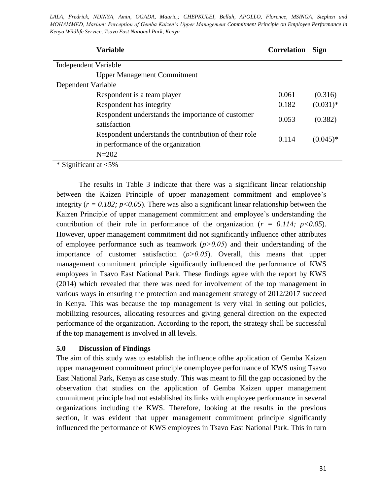MOHAMMED, Mariam: Perception of Gemba Kaizen's Upper Management Commitment Principle on Employee Performance in *LALA, Fredrick, NDINYA, Amin, OGADA, Mauric,; CHEPKULEI, Bellah, APOLLO, Florence, MSINGA, Stephen and Kenya Wildlife Service, Tsavo East National Park, Kenya*

| <b>Variable</b>                                                                             | <b>Correlation</b> | <b>Sign</b> |
|---------------------------------------------------------------------------------------------|--------------------|-------------|
| Independent Variable                                                                        |                    |             |
| <b>Upper Management Commitment</b>                                                          |                    |             |
| Dependent Variable                                                                          |                    |             |
| Respondent is a team player                                                                 | 0.061              | (0.316)     |
| Respondent has integrity                                                                    | 0.182              | $(0.031)*$  |
| Respondent understands the importance of customer<br>satisfaction                           | 0.053              | (0.382)     |
| Respondent understands the contribution of their role<br>in performance of the organization | 0.114              | $(0.045)*$  |
| $N = 202$                                                                                   |                    |             |

\* Significant at <5%

The results in Table 3 indicate that there was a significant linear relationship between the Kaizen Principle of upper management commitment and employee's integrity  $(r = 0.182; p<0.05)$ . There was also a significant linear relationship between the Kaizen Principle of upper management commitment and employee's understanding the contribution of their role in performance of the organization ( $r = 0.114$ ;  $p < 0.05$ ). However, upper management commitment did not significantly influence other attributes of employee performance such as teamwork  $(p>0.05)$  and their understanding of the importance of customer satisfaction  $(p>0.05)$ . Overall, this means that upper management commitment principle significantly influenced the performance of KWS employees in Tsavo East National Park. These findings agree with the report by KWS (2014) which revealed that there was need for involvement of the top management in various ways in ensuring the protection and management strategy of 2012/2017 succeed in Kenya. This was because the top management is very vital in setting out policies, mobilizing resources, allocating resources and giving general direction on the expected performance of the organization. According to the report, the strategy shall be successful if the top management is involved in all levels.

#### **5.0 Discussion of Findings**

The aim of this study was to establish the influence ofthe application of Gemba Kaizen upper management commitment principle onemployee performance of KWS using Tsavo East National Park, Kenya as case study. This was meant to fill the gap occasioned by the observation that studies on the application of Gemba Kaizen upper management commitment principle had not established its links with employee performance in several organizations including the KWS. Therefore, looking at the results in the previous section, it was evident that upper management commitment principle significantly influenced the performance of KWS employees in Tsavo East National Park. This in turn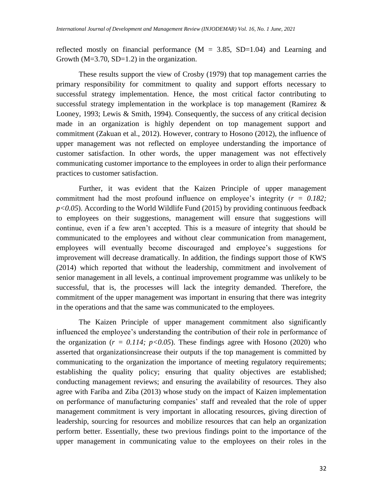reflected mostly on financial performance  $(M = 3.85, SD=1.04)$  and Learning and Growth  $(M=3.70, SD=1.2)$  in the organization.

These results support the view of Crosby (1979) that top management carries the primary responsibility for commitment to quality and support efforts necessary to successful strategy implementation. Hence, the most critical factor contributing to successful strategy implementation in the workplace is top management (Ramirez  $\&$ Looney, 1993; Lewis & Smith, 1994). Consequently, the success of any critical decision made in an organization is highly dependent on top management support and commitment (Zakuan et al., 2012). However, contrary to Hosono (2012), the influence of upper management was not reflected on employee understanding the importance of customer satisfaction. In other words, the upper management was not effectively communicating customer importance to the employees in order to align their performance practices to customer satisfaction.

Further, it was evident that the Kaizen Principle of upper management commitment had the most profound influence on employee's integrity (*r = 0.182;*  $p<0.05$ ). According to the World Wildlife Fund (2015) by providing continuous feedback to employees on their suggestions, management will ensure that suggestions will continue, even if a few aren't accepted. This is a measure of integrity that should be communicated to the employees and without clear communication from management, employees will eventually become discouraged and employee's suggestions for improvement will decrease dramatically. In addition, the findings support those of KWS (2014) which reported that without the leadership, commitment and involvement of senior management in all levels, a continual improvement programme was unlikely to be successful, that is, the processes will lack the integrity demanded. Therefore, the commitment of the upper management was important in ensuring that there was integrity in the operations and that the same was communicated to the employees.

The Kaizen Principle of upper management commitment also significantly influenced the employee's understanding the contribution of their role in performance of the organization  $(r = 0.114; p<0.05)$ . These findings agree with Hosono (2020) who asserted that organizationsincrease their outputs if the top management is committed by communicating to the organization the importance of meeting regulatory requirements; establishing the quality policy; ensuring that quality objectives are established; conducting management reviews; and ensuring the availability of resources. They also agree with Fariba and Ziba (2013) whose study on the impact of Kaizen implementation on performance of manufacturing companies' staff and revealed that the role of upper management commitment is very important in allocating resources, giving direction of leadership, sourcing for resources and mobilize resources that can help an organization perform better. Essentially, these two previous findings point to the importance of the upper management in communicating value to the employees on their roles in the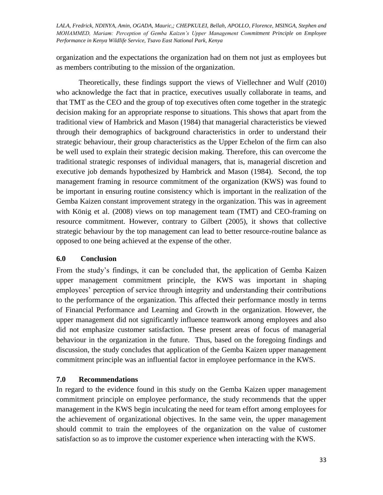organization and the expectations the organization had on them not just as employees but as members contributing to the mission of the organization.

Theoretically, these findings support the views of Viellechner and Wulf (2010) who acknowledge the fact that in practice, executives usually collaborate in teams, and that TMT as the CEO and the group of top executives often come together in the strategic decision making for an appropriate response to situations. This shows that apart from the traditional view of Hambrick and Mason (1984) that managerial characteristics be viewed through their demographics of background characteristics in order to understand their strategic behaviour, their group characteristics as the Upper Echelon of the firm can also be well used to explain their strategic decision making. Therefore, this can overcome the traditional strategic responses of individual managers, that is, managerial discretion and executive job demands hypothesized by Hambrick and Mason (1984). Second, the top management framing in resource commitment of the organization (KWS) was found to be important in ensuring routine consistency which is important in the realization of the Gemba Kaizen constant improvement strategy in the organization. This was in agreement with König et al. (2008) views on top management team (TMT) and CEO-framing on resource commitment. However, contrary to Gilbert (2005), it shows that collective strategic behaviour by the top management can lead to better resource-routine balance as opposed to one being achieved at the expense of the other.

#### **6.0 Conclusion**

From the study's findings, it can be concluded that, the application of Gemba Kaizen upper management commitment principle, the KWS was important in shaping employees' perception of service through integrity and understanding their contributions to the performance of the organization. This affected their performance mostly in terms of Financial Performance and Learning and Growth in the organization. However, the upper management did not significantly influence teamwork among employees and also did not emphasize customer satisfaction. These present areas of focus of managerial behaviour in the organization in the future. Thus, based on the foregoing findings and discussion, the study concludes that application of the Gemba Kaizen upper management commitment principle was an influential factor in employee performance in the KWS.

#### **7.0 Recommendations**

In regard to the evidence found in this study on the Gemba Kaizen upper management commitment principle on employee performance, the study recommends that the upper management in the KWS begin inculcating the need for team effort among employees for the achievement of organizational objectives. In the same vein, the upper management should commit to train the employees of the organization on the value of customer satisfaction so as to improve the customer experience when interacting with the KWS.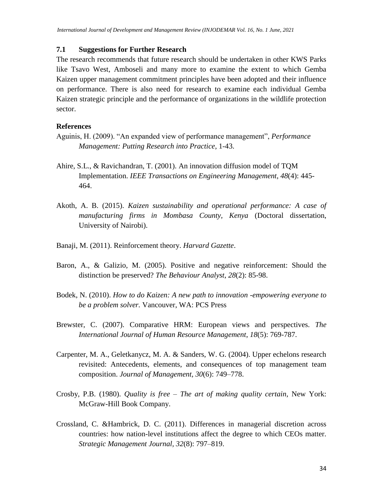#### **7.1 Suggestions for Further Research**

The research recommends that future research should be undertaken in other KWS Parks like Tsavo West, Amboseli and many more to examine the extent to which Gemba Kaizen upper management commitment principles have been adopted and their influence on performance. There is also need for research to examine each individual Gemba Kaizen strategic principle and the performance of organizations in the wildlife protection sector.

#### **References**

- Aguinis, H. (2009). "An expanded view of performance management", *Performance Management: Putting Research into Practice*, 1-43.
- Ahire, S.L., & Ravichandran, T. (2001). An innovation diffusion model of TQM Implementation. *IEEE Transactions on Engineering Management*, *48*(4): 445- 464.
- Akoth, A. B. (2015). *Kaizen sustainability and operational performance: A case of manufacturing firms in Mombasa County, Kenya* (Doctoral dissertation, University of Nairobi).
- Banaji, M. (2011). Reinforcement theory. *Harvard Gazette*.
- Baron, A., & Galizio, M. (2005). Positive and negative reinforcement: Should the distinction be preserved? *The Behaviour Analyst*, *28*(2): 85-98.
- Bodek, N. (2010). *How to do Kaizen: A new path to innovation -empowering everyone to be a problem solver.* Vancouver, WA: PCS Press
- Brewster, C. (2007). Comparative HRM: European views and perspectives. *The International Journal of Human Resource Management*, *18*(5): 769-787.
- Carpenter, M. A., Geletkanycz, M. A. & Sanders, W. G. (2004). Upper echelons research revisited: Antecedents, elements, and consequences of top management team composition. *Journal of Management, 30*(6): 749–778.
- Crosby, P.B. (1980). *Quality is free – The art of making quality certain*, New York: McGraw-Hill Book Company.
- Crossland, C. &Hambrick, D. C. (2011). Differences in managerial discretion across countries: how nation-level institutions affect the degree to which CEOs matter. *Strategic Management Journal, 32*(8): 797–819.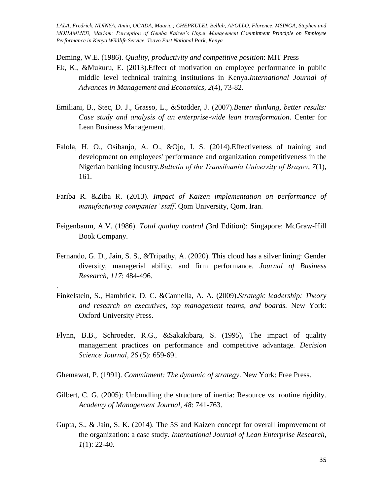Deming, W.E. (1986). *Quality, productivity and competitive position*: MIT Press

- Ek, K., &Mukuru, E. (2013).Effect of motivation on employee performance in public middle level technical training institutions in Kenya.*International Journal of Advances in Management and Economics*, *2*(4), 73-82.
- Emiliani, B., Stec, D. J., Grasso, L., &Stodder, J. (2007).*Better thinking, better results: Case study and analysis of an enterprise-wide lean transformation*. Center for Lean Business Management.
- Falola, H. O., Osibanjo, A. O., &Ojo, I. S. (2014).Effectiveness of training and development on employees' performance and organization competitiveness in the Nigerian banking industry.*Bulletin of the Transilvania University of Braşov*, *7*(1), 161.
- Fariba R. &Ziba R. (2013). *Impact of Kaizen implementation on performance of manufacturing companies' staff*. Qom University, Qom, Iran.
- Feigenbaum, A.V. (1986). *Total quality control (*3rd Edition): Singapore: McGraw-Hill Book Company.
- Fernando, G. D., Jain, S. S., &Tripathy, A. (2020). This cloud has a silver lining: Gender diversity, managerial ability, and firm performance. *Journal of Business Research*, *117*: 484-496.
- Finkelstein, S., Hambrick, D. C. &Cannella, A. A. (2009).*Strategic leadership: Theory and research on executives, top management teams, and boards.* New York: Oxford University Press.

.

- Flynn, B.B., Schroeder, R.G., &Sakakibara, S. (1995), The impact of quality management practices on performance and competitive advantage. *Decision Science Journal, 26* (5): 659-691
- Ghemawat, P. (1991). *Commitment: The dynamic of strategy*. New York: Free Press.
- Gilbert, C. G. (2005): Unbundling the structure of inertia: Resource vs. routine rigidity. *Academy of Management Journal, 48*: 741-763.
- Gupta, S., & Jain, S. K. (2014). The 5S and Kaizen concept for overall improvement of the organization: a case study. *International Journal of Lean Enterprise Research*, *1*(1): 22-40.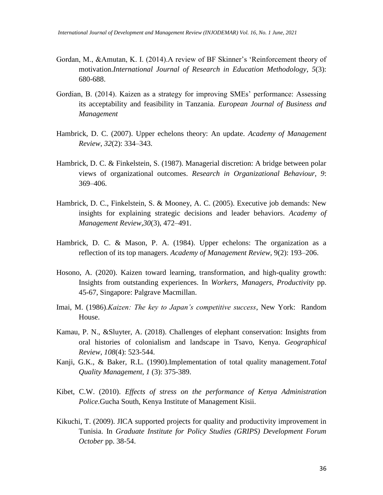- Gordan, M., &Amutan, K. I. (2014). A review of BF Skinner's 'Reinforcement theory of motivation.*International Journal of Research in Education Methodology*, *5*(3): 680-688.
- Gordian, B. (2014). Kaizen as a strategy for improving SMEs' performance: Assessing its acceptability and feasibility in Tanzania. *European Journal of Business and Management*
- Hambrick, D. C. (2007). Upper echelons theory: An update. *Academy of Management Review*, *32*(2): 334–343.
- Hambrick, D. C. & Finkelstein, S. (1987). Managerial discretion: A bridge between polar views of organizational outcomes. *Research in Organizational Behaviour, 9*: 369–406.
- Hambrick, D. C., Finkelstein, S. & Mooney, A. C. (2005). Executive job demands: New insights for explaining strategic decisions and leader behaviors. *Academy of Management Review,30*(3), 472–491.
- Hambrick, D. C. & Mason, P. A. (1984). Upper echelons: The organization as a reflection of its top managers. *Academy of Management Review,* 9(2): 193–206.
- Hosono, A. (2020). Kaizen toward learning, transformation, and high-quality growth: Insights from outstanding experiences. In *Workers, Managers, Productivity* pp. 45-67, Singapore: Palgrave Macmillan.
- Imai, M. (1986).*Kaizen: The key to Japan's competitive success*, New York: Random House.
- Kamau, P. N., &Sluyter, A. (2018). Challenges of elephant conservation: Insights from oral histories of colonialism and landscape in Tsavo, Kenya. *Geographical Review*, *108*(4): 523-544.
- Kanji, G.K., & Baker, R.L. (1990).Implementation of total quality management.*Total Quality Management, 1* (3): 375-389.
- Kibet, C.W. (2010). *Effects of stress on the performance of Kenya Administration Police*.Gucha South, Kenya Institute of Management Kisii.
- Kikuchi, T. (2009). JICA supported projects for quality and productivity improvement in Tunisia. In *Graduate Institute for Policy Studies (GRIPS) Development Forum October* pp. 38-54.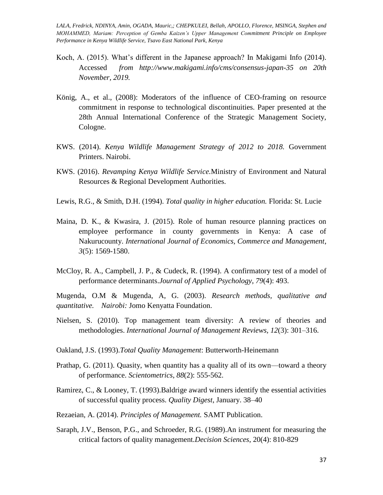- Koch, A. (2015). What's different in the Japanese approach? In Makigami Info (2014). Accessed *from http://www.makigami.info/cms/consensus-japan-35 on 20th November, 2019.*
- König, A., et al., (2008): Moderators of the influence of CEO-framing on resource commitment in response to technological discontinuities. Paper presented at the 28th Annual International Conference of the Strategic Management Society, Cologne.
- KWS. (2014). *Kenya Wildlife Management Strategy of 2012 to 2018.* Government Printers. Nairobi.
- KWS. (2016). *Revamping Kenya Wildlife Service.*Ministry of Environment and Natural Resources & Regional Development Authorities.
- Lewis, R.G., & Smith, D.H. (1994). *Total quality in higher education.* Florida: St. Lucie
- Maina, D. K., & Kwasira, J. (2015). Role of human resource planning practices on employee performance in county governments in Kenya: A case of Nakurucounty. *International Journal of Economics, Commerce and Management*, *3*(5): 1569-1580.
- McCloy, R. A., Campbell, J. P., & Cudeck, R. (1994). A confirmatory test of a model of performance determinants.*Journal of Applied Psychology*, *79*(4): 493.

Mugenda, O.M & Mugenda, A, G. (2003). *Research methods, qualitative and quantitative. Nairobi:* Jomo Kenyatta Foundation.

- Nielsen, S. (2010). Top management team diversity: A review of theories and methodologies. *International Journal of Management Reviews, 12*(3): 301–316.
- Oakland, J.S. (1993).*Total Quality Management*: Butterworth-Heinemann
- Prathap, G. (2011). Quasity, when quantity has a quality all of its own—toward a theory of performance. *Scientometrics*, *88*(2): 555-562.
- Ramirez, C., & Looney, T. (1993).Baldrige award winners identify the essential activities of successful quality process. *Quality Digest*, January. 38–40
- Rezaeian, A. (2014). *Principles of Management.* SAMT Publication.
- Saraph, J.V., Benson, P.G., and Schroeder, R.G. (1989).An instrument for measuring the critical factors of quality management.*Decision Sciences*, 20(4): 810-829